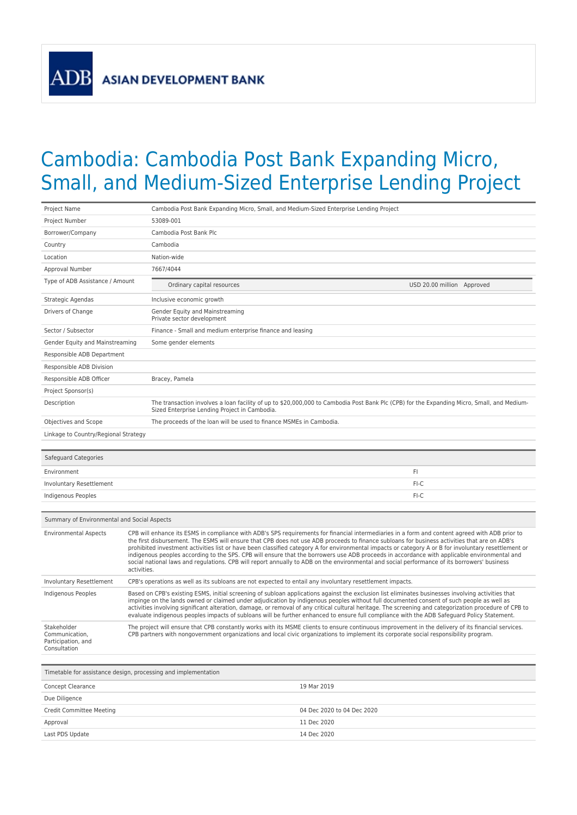## Cambodia: Cambodia Post Bank Expanding Micro, Small, and Medium-Sized Enterprise Lending Project

| Project Name                                                        | Cambodia Post Bank Expanding Micro, Small, and Medium-Sized Enterprise Lending Project                                                                                                                                                                                                                                                                                                                                                                                                                                                                                                                                                                                                                                                                                   |  |
|---------------------------------------------------------------------|--------------------------------------------------------------------------------------------------------------------------------------------------------------------------------------------------------------------------------------------------------------------------------------------------------------------------------------------------------------------------------------------------------------------------------------------------------------------------------------------------------------------------------------------------------------------------------------------------------------------------------------------------------------------------------------------------------------------------------------------------------------------------|--|
| Project Number                                                      | 53089-001                                                                                                                                                                                                                                                                                                                                                                                                                                                                                                                                                                                                                                                                                                                                                                |  |
| Borrower/Company                                                    | Cambodia Post Bank Plc                                                                                                                                                                                                                                                                                                                                                                                                                                                                                                                                                                                                                                                                                                                                                   |  |
| Country                                                             | Cambodia                                                                                                                                                                                                                                                                                                                                                                                                                                                                                                                                                                                                                                                                                                                                                                 |  |
| Location                                                            | Nation-wide                                                                                                                                                                                                                                                                                                                                                                                                                                                                                                                                                                                                                                                                                                                                                              |  |
| Approval Number                                                     | 7667/4044                                                                                                                                                                                                                                                                                                                                                                                                                                                                                                                                                                                                                                                                                                                                                                |  |
| Type of ADB Assistance / Amount                                     | Ordinary capital resources<br>USD 20.00 million Approved                                                                                                                                                                                                                                                                                                                                                                                                                                                                                                                                                                                                                                                                                                                 |  |
| Strategic Agendas                                                   | Inclusive economic growth                                                                                                                                                                                                                                                                                                                                                                                                                                                                                                                                                                                                                                                                                                                                                |  |
| Drivers of Change                                                   | Gender Equity and Mainstreaming<br>Private sector development                                                                                                                                                                                                                                                                                                                                                                                                                                                                                                                                                                                                                                                                                                            |  |
| Sector / Subsector                                                  | Finance - Small and medium enterprise finance and leasing                                                                                                                                                                                                                                                                                                                                                                                                                                                                                                                                                                                                                                                                                                                |  |
| Gender Equity and Mainstreaming                                     | Some gender elements                                                                                                                                                                                                                                                                                                                                                                                                                                                                                                                                                                                                                                                                                                                                                     |  |
| Responsible ADB Department                                          |                                                                                                                                                                                                                                                                                                                                                                                                                                                                                                                                                                                                                                                                                                                                                                          |  |
| Responsible ADB Division                                            |                                                                                                                                                                                                                                                                                                                                                                                                                                                                                                                                                                                                                                                                                                                                                                          |  |
| Responsible ADB Officer                                             | Bracey, Pamela                                                                                                                                                                                                                                                                                                                                                                                                                                                                                                                                                                                                                                                                                                                                                           |  |
| Project Sponsor(s)                                                  |                                                                                                                                                                                                                                                                                                                                                                                                                                                                                                                                                                                                                                                                                                                                                                          |  |
| Description                                                         | The transaction involves a loan facility of up to \$20,000,000 to Cambodia Post Bank Plc (CPB) for the Expanding Micro, Small, and Medium-<br>Sized Enterprise Lending Project in Cambodia.                                                                                                                                                                                                                                                                                                                                                                                                                                                                                                                                                                              |  |
| Objectives and Scope                                                | The proceeds of the loan will be used to finance MSMEs in Cambodia.                                                                                                                                                                                                                                                                                                                                                                                                                                                                                                                                                                                                                                                                                                      |  |
| Linkage to Country/Regional Strategy                                |                                                                                                                                                                                                                                                                                                                                                                                                                                                                                                                                                                                                                                                                                                                                                                          |  |
|                                                                     |                                                                                                                                                                                                                                                                                                                                                                                                                                                                                                                                                                                                                                                                                                                                                                          |  |
| Safeguard Categories                                                |                                                                                                                                                                                                                                                                                                                                                                                                                                                                                                                                                                                                                                                                                                                                                                          |  |
| Environment                                                         | FI                                                                                                                                                                                                                                                                                                                                                                                                                                                                                                                                                                                                                                                                                                                                                                       |  |
| Involuntary Resettlement                                            | FI-C                                                                                                                                                                                                                                                                                                                                                                                                                                                                                                                                                                                                                                                                                                                                                                     |  |
| Indigenous Peoples                                                  | $FI-C$                                                                                                                                                                                                                                                                                                                                                                                                                                                                                                                                                                                                                                                                                                                                                                   |  |
|                                                                     |                                                                                                                                                                                                                                                                                                                                                                                                                                                                                                                                                                                                                                                                                                                                                                          |  |
| Summary of Environmental and Social Aspects                         |                                                                                                                                                                                                                                                                                                                                                                                                                                                                                                                                                                                                                                                                                                                                                                          |  |
| <b>Environmental Aspects</b>                                        | CPB will enhance its ESMS in compliance with ADB's SPS requirements for financial intermediaries in a form and content agreed with ADB prior to<br>the first disbursement. The ESMS will ensure that CPB does not use ADB proceeds to finance subloans for business activities that are on ADB's<br>prohibited investment activities list or have been classified category A for environmental impacts or category A or B for involuntary resettlement or<br>indigenous peoples according to the SPS. CPB will ensure that the borrowers use ADB proceeds in accordance with applicable environmental and<br>social national laws and regulations. CPB will report annually to ADB on the environmental and social performance of its borrowers' business<br>activities. |  |
| <b>Involuntary Resettlement</b>                                     | CPB's operations as well as its subloans are not expected to entail any involuntary resettlement impacts.                                                                                                                                                                                                                                                                                                                                                                                                                                                                                                                                                                                                                                                                |  |
| Indigenous Peoples                                                  | Based on CPB's existing ESMS, initial screening of subloan applications against the exclusion list eliminates businesses involving activities that<br>impinge on the lands owned or claimed under adjudication by indigenous peoples without full documented consent of such people as well as<br>activities involving significant alteration, damage, or removal of any critical cultural heritage. The screening and categorization procedure of CPB to<br>evaluate indigenous peoples impacts of subloans will be further enhanced to ensure full compliance with the ADB Safeguard Policy Statement.                                                                                                                                                                 |  |
| Stakeholder<br>Communication,<br>Participation, and<br>Consultation | The project will ensure that CPB constantly works with its MSME clients to ensure continuous improvement in the delivery of its financial services.<br>CPB partners with nongovernment organizations and local civic organizations to implement its corporate social responsibility program.                                                                                                                                                                                                                                                                                                                                                                                                                                                                             |  |
|                                                                     |                                                                                                                                                                                                                                                                                                                                                                                                                                                                                                                                                                                                                                                                                                                                                                          |  |
|                                                                     |                                                                                                                                                                                                                                                                                                                                                                                                                                                                                                                                                                                                                                                                                                                                                                          |  |

| Concept Clearance               | 19 Mar 2019                |
|---------------------------------|----------------------------|
| Due Diligence                   |                            |
| <b>Credit Committee Meeting</b> | 04 Dec 2020 to 04 Dec 2020 |
| Approval                        | 11 Dec 2020                |
| Last PDS Update                 | 14 Dec 2020                |